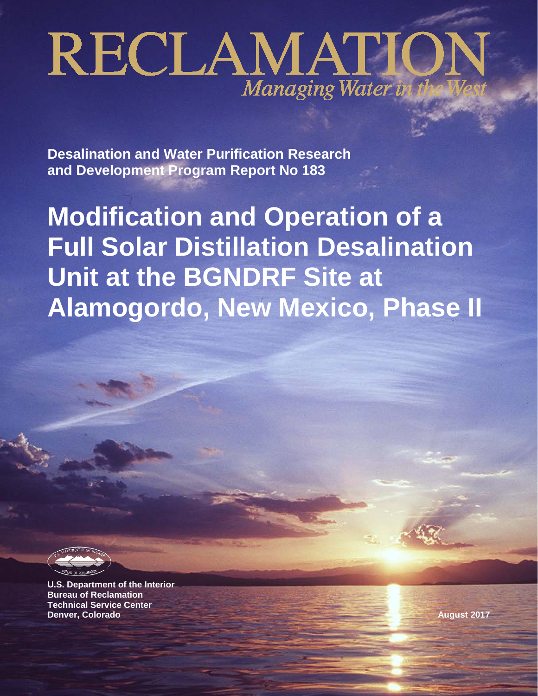# RECLAMATIO Managing Water in

**Desalination and Water Purification Research and Development Program Report No 183**

**Modification and Operation of a Full Solar Distillation Desalination Unit at the BGNDRF Site at Alamogordo, New Mexico, Phase II** 

**U.S. Department of the Interior Bureau of Reclamation Technical Service Center Denver, Colorado August 2017**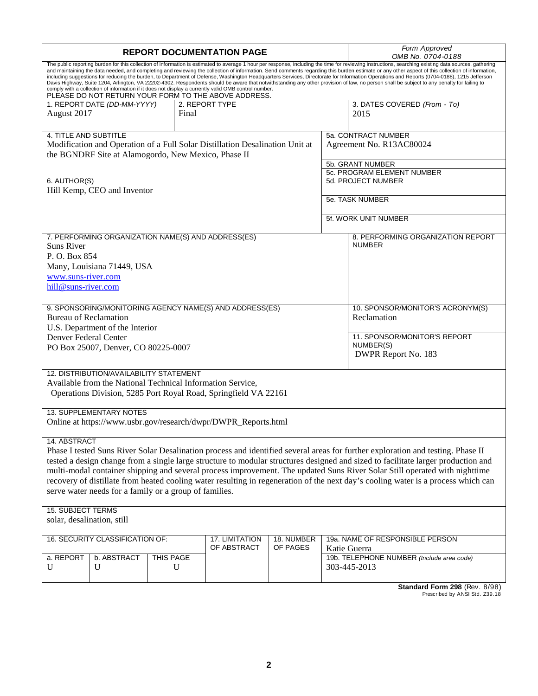|                              |                                                        |           | <b>REPORT DOCUMENTATION PAGE</b>                                                                                                                             |            | Form Approved<br>OMB No. 0704-0188                                                                                                                                                                                                                                                                                                                                                                                                                                                                                                                                                                                                                                                                                                                                                                   |
|------------------------------|--------------------------------------------------------|-----------|--------------------------------------------------------------------------------------------------------------------------------------------------------------|------------|------------------------------------------------------------------------------------------------------------------------------------------------------------------------------------------------------------------------------------------------------------------------------------------------------------------------------------------------------------------------------------------------------------------------------------------------------------------------------------------------------------------------------------------------------------------------------------------------------------------------------------------------------------------------------------------------------------------------------------------------------------------------------------------------------|
|                              |                                                        |           | comply with a collection of information if it does not display a currently valid OMB control number.<br>PLEASE DO NOT RETURN YOUR FORM TO THE ABOVE ADDRESS. |            | The public reporting burden for this collection of information is estimated to average 1 hour per response, including the time for reviewing instructions, searching existing data sources, gathering<br>and maintaining the data needed, and completing and reviewing the collection of information. Send comments regarding this burden estimate or any other aspect of this collection of information,<br>including suggestions for reducing the burden, to Department of Defense, Washington Headquarters Services, Directorate for Information Operations and Reports (0704-0188), 1215 Jefferson<br>Davis Highway, Suite 1204, Arlington, VA 22202-4302. Respondents should be aware that notwithstanding any other provision of law, no person shall be subject to any penalty for failing to |
|                              | 1. REPORT DATE (DD-MM-YYYY)                            |           | 2. REPORT TYPE                                                                                                                                               |            | 3. DATES COVERED (From - To)                                                                                                                                                                                                                                                                                                                                                                                                                                                                                                                                                                                                                                                                                                                                                                         |
| August 2017                  |                                                        | Final     |                                                                                                                                                              |            | 2015                                                                                                                                                                                                                                                                                                                                                                                                                                                                                                                                                                                                                                                                                                                                                                                                 |
| 4. TITLE AND SUBTITLE        |                                                        |           |                                                                                                                                                              |            | 5a. CONTRACT NUMBER                                                                                                                                                                                                                                                                                                                                                                                                                                                                                                                                                                                                                                                                                                                                                                                  |
|                              |                                                        |           | Modification and Operation of a Full Solar Distillation Desalination Unit at                                                                                 |            | Agreement No. R13AC80024                                                                                                                                                                                                                                                                                                                                                                                                                                                                                                                                                                                                                                                                                                                                                                             |
|                              | the BGNDRF Site at Alamogordo, New Mexico, Phase II    |           |                                                                                                                                                              |            |                                                                                                                                                                                                                                                                                                                                                                                                                                                                                                                                                                                                                                                                                                                                                                                                      |
|                              |                                                        |           |                                                                                                                                                              |            | 5b. GRANT NUMBER                                                                                                                                                                                                                                                                                                                                                                                                                                                                                                                                                                                                                                                                                                                                                                                     |
|                              |                                                        |           |                                                                                                                                                              |            | 5c. PROGRAM ELEMENT NUMBER                                                                                                                                                                                                                                                                                                                                                                                                                                                                                                                                                                                                                                                                                                                                                                           |
| 6. AUTHOR(S)                 |                                                        |           |                                                                                                                                                              |            | 5d. PROJECT NUMBER                                                                                                                                                                                                                                                                                                                                                                                                                                                                                                                                                                                                                                                                                                                                                                                   |
|                              | Hill Kemp, CEO and Inventor                            |           |                                                                                                                                                              |            |                                                                                                                                                                                                                                                                                                                                                                                                                                                                                                                                                                                                                                                                                                                                                                                                      |
|                              |                                                        |           |                                                                                                                                                              |            | 5e. TASK NUMBER                                                                                                                                                                                                                                                                                                                                                                                                                                                                                                                                                                                                                                                                                                                                                                                      |
|                              |                                                        |           |                                                                                                                                                              |            | 5f. WORK UNIT NUMBER                                                                                                                                                                                                                                                                                                                                                                                                                                                                                                                                                                                                                                                                                                                                                                                 |
|                              |                                                        |           |                                                                                                                                                              |            |                                                                                                                                                                                                                                                                                                                                                                                                                                                                                                                                                                                                                                                                                                                                                                                                      |
| <b>Suns River</b>            |                                                        |           | 7. PERFORMING ORGANIZATION NAME(S) AND ADDRESS(ES)                                                                                                           |            | 8. PERFORMING ORGANIZATION REPORT<br><b>NUMBER</b>                                                                                                                                                                                                                                                                                                                                                                                                                                                                                                                                                                                                                                                                                                                                                   |
| P.O. Box 854                 |                                                        |           |                                                                                                                                                              |            |                                                                                                                                                                                                                                                                                                                                                                                                                                                                                                                                                                                                                                                                                                                                                                                                      |
|                              | Many, Louisiana 71449, USA                             |           |                                                                                                                                                              |            |                                                                                                                                                                                                                                                                                                                                                                                                                                                                                                                                                                                                                                                                                                                                                                                                      |
| www.suns-river.com           |                                                        |           |                                                                                                                                                              |            |                                                                                                                                                                                                                                                                                                                                                                                                                                                                                                                                                                                                                                                                                                                                                                                                      |
| hill@suns-river.com          |                                                        |           |                                                                                                                                                              |            |                                                                                                                                                                                                                                                                                                                                                                                                                                                                                                                                                                                                                                                                                                                                                                                                      |
|                              |                                                        |           |                                                                                                                                                              |            |                                                                                                                                                                                                                                                                                                                                                                                                                                                                                                                                                                                                                                                                                                                                                                                                      |
|                              |                                                        |           | 9. SPONSORING/MONITORING AGENCY NAME(S) AND ADDRESS(ES)                                                                                                      |            | 10. SPONSOR/MONITOR'S ACRONYM(S)                                                                                                                                                                                                                                                                                                                                                                                                                                                                                                                                                                                                                                                                                                                                                                     |
| <b>Bureau of Reclamation</b> |                                                        |           |                                                                                                                                                              |            | Reclamation                                                                                                                                                                                                                                                                                                                                                                                                                                                                                                                                                                                                                                                                                                                                                                                          |
|                              | U.S. Department of the Interior                        |           |                                                                                                                                                              |            |                                                                                                                                                                                                                                                                                                                                                                                                                                                                                                                                                                                                                                                                                                                                                                                                      |
| Denver Federal Center        |                                                        |           |                                                                                                                                                              |            | 11. SPONSOR/MONITOR'S REPORT<br>NUMBER(S)                                                                                                                                                                                                                                                                                                                                                                                                                                                                                                                                                                                                                                                                                                                                                            |
|                              | PO Box 25007, Denver, CO 80225-0007                    |           |                                                                                                                                                              |            | DWPR Report No. 183                                                                                                                                                                                                                                                                                                                                                                                                                                                                                                                                                                                                                                                                                                                                                                                  |
|                              |                                                        |           |                                                                                                                                                              |            |                                                                                                                                                                                                                                                                                                                                                                                                                                                                                                                                                                                                                                                                                                                                                                                                      |
|                              | 12. DISTRIBUTION/AVAILABILITY STATEMENT                |           |                                                                                                                                                              |            |                                                                                                                                                                                                                                                                                                                                                                                                                                                                                                                                                                                                                                                                                                                                                                                                      |
|                              |                                                        |           | Available from the National Technical Information Service,                                                                                                   |            |                                                                                                                                                                                                                                                                                                                                                                                                                                                                                                                                                                                                                                                                                                                                                                                                      |
|                              |                                                        |           | Operations Division, 5285 Port Royal Road, Springfield VA 22161                                                                                              |            |                                                                                                                                                                                                                                                                                                                                                                                                                                                                                                                                                                                                                                                                                                                                                                                                      |
|                              |                                                        |           |                                                                                                                                                              |            |                                                                                                                                                                                                                                                                                                                                                                                                                                                                                                                                                                                                                                                                                                                                                                                                      |
|                              | <b>13. SUPPLEMENTARY NOTES</b>                         |           |                                                                                                                                                              |            |                                                                                                                                                                                                                                                                                                                                                                                                                                                                                                                                                                                                                                                                                                                                                                                                      |
|                              |                                                        |           | Online at https://www.usbr.gov/research/dwpr/DWPR_Reports.html                                                                                               |            |                                                                                                                                                                                                                                                                                                                                                                                                                                                                                                                                                                                                                                                                                                                                                                                                      |
| 14. ABSTRACT                 |                                                        |           |                                                                                                                                                              |            |                                                                                                                                                                                                                                                                                                                                                                                                                                                                                                                                                                                                                                                                                                                                                                                                      |
|                              |                                                        |           |                                                                                                                                                              |            | Phase I tested Suns River Solar Desalination process and identified several areas for further exploration and testing. Phase II                                                                                                                                                                                                                                                                                                                                                                                                                                                                                                                                                                                                                                                                      |
|                              |                                                        |           |                                                                                                                                                              |            | tested a design change from a single large structure to modular structures designed and sized to facilitate larger production and                                                                                                                                                                                                                                                                                                                                                                                                                                                                                                                                                                                                                                                                    |
|                              |                                                        |           |                                                                                                                                                              |            | multi-modal container shipping and several process improvement. The updated Suns River Solar Still operated with nighttime                                                                                                                                                                                                                                                                                                                                                                                                                                                                                                                                                                                                                                                                           |
|                              |                                                        |           |                                                                                                                                                              |            | recovery of distillate from heated cooling water resulting in regeneration of the next day's cooling water is a process which can                                                                                                                                                                                                                                                                                                                                                                                                                                                                                                                                                                                                                                                                    |
|                              | serve water needs for a family or a group of families. |           |                                                                                                                                                              |            |                                                                                                                                                                                                                                                                                                                                                                                                                                                                                                                                                                                                                                                                                                                                                                                                      |
|                              |                                                        |           |                                                                                                                                                              |            |                                                                                                                                                                                                                                                                                                                                                                                                                                                                                                                                                                                                                                                                                                                                                                                                      |
| <b>15. SUBJECT TERMS</b>     |                                                        |           |                                                                                                                                                              |            |                                                                                                                                                                                                                                                                                                                                                                                                                                                                                                                                                                                                                                                                                                                                                                                                      |
| solar, desalination, still   |                                                        |           |                                                                                                                                                              |            |                                                                                                                                                                                                                                                                                                                                                                                                                                                                                                                                                                                                                                                                                                                                                                                                      |
|                              | 16. SECURITY CLASSIFICATION OF:                        |           | 17. LIMITATION                                                                                                                                               | 18. NUMBER | 19a. NAME OF RESPONSIBLE PERSON                                                                                                                                                                                                                                                                                                                                                                                                                                                                                                                                                                                                                                                                                                                                                                      |
|                              |                                                        |           | OF ABSTRACT                                                                                                                                                  | OF PAGES   | Katie Guerra                                                                                                                                                                                                                                                                                                                                                                                                                                                                                                                                                                                                                                                                                                                                                                                         |
| a. REPORT                    | b. ABSTRACT                                            | THIS PAGE |                                                                                                                                                              |            | 19b. TELEPHONE NUMBER (Include area code)                                                                                                                                                                                                                                                                                                                                                                                                                                                                                                                                                                                                                                                                                                                                                            |
| U                            | U                                                      | U         |                                                                                                                                                              |            | 303-445-2013                                                                                                                                                                                                                                                                                                                                                                                                                                                                                                                                                                                                                                                                                                                                                                                         |
|                              |                                                        |           |                                                                                                                                                              |            |                                                                                                                                                                                                                                                                                                                                                                                                                                                                                                                                                                                                                                                                                                                                                                                                      |
|                              |                                                        |           |                                                                                                                                                              |            | Standard Form 298 (Rev. 8/98)                                                                                                                                                                                                                                                                                                                                                                                                                                                                                                                                                                                                                                                                                                                                                                        |

**Standard Form 298** (Rev. 8/98)<br>Prescribed by ANSI Std. Z39.18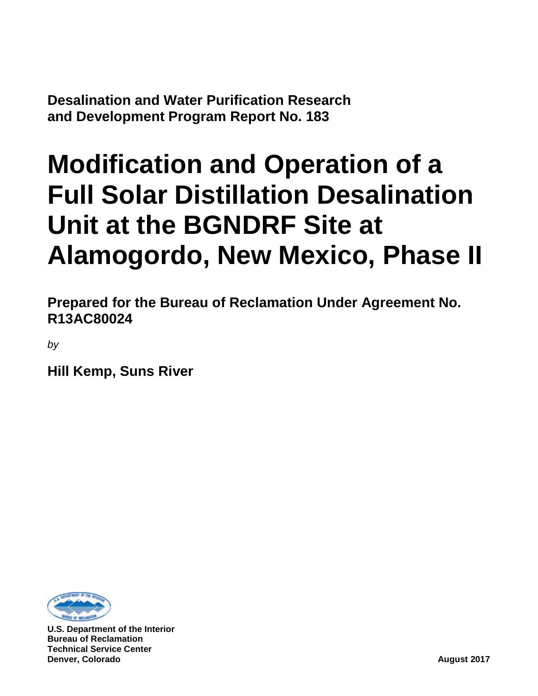**Desalination and Water Purification Research and Development Program Report No. 183**

# **Modification and Operation of a Full Solar Distillation Desalination Unit at the BGNDRF Site at Alamogordo, New Mexico, Phase II**

**Prepared for the Bureau of Reclamation Under Agreement No. R13AC80024**

*by*

**Hill Kemp, Suns River**



**U.S. Department of the Interior Bureau of Reclamation Technical Service Center Denver, Colorado August 2017**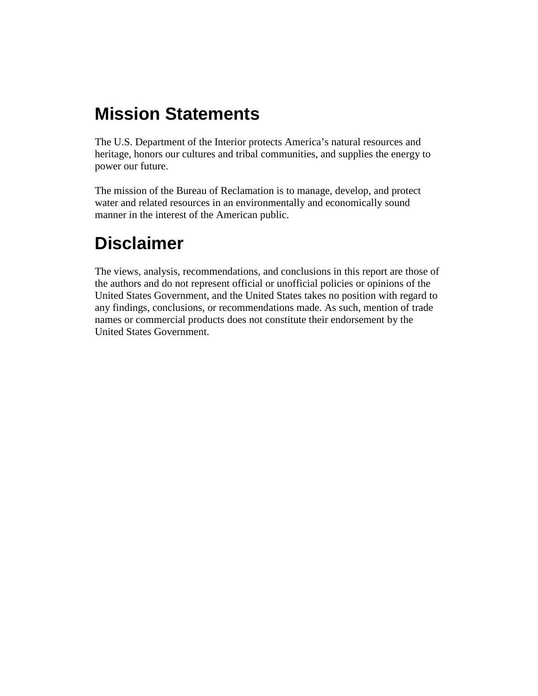# **Mission Statements**

The U.S. Department of the Interior protects America's natural resources and heritage, honors our cultures and tribal communities, and supplies the energy to power our future.

The mission of the Bureau of Reclamation is to manage, develop, and protect water and related resources in an environmentally and economically sound manner in the interest of the American public.

# **Disclaimer**

The views, analysis, recommendations, and conclusions in this report are those of the authors and do not represent official or unofficial policies or opinions of the United States Government, and the United States takes no position with regard to any findings, conclusions, or recommendations made. As such, mention of trade names or commercial products does not constitute their endorsement by the United States Government.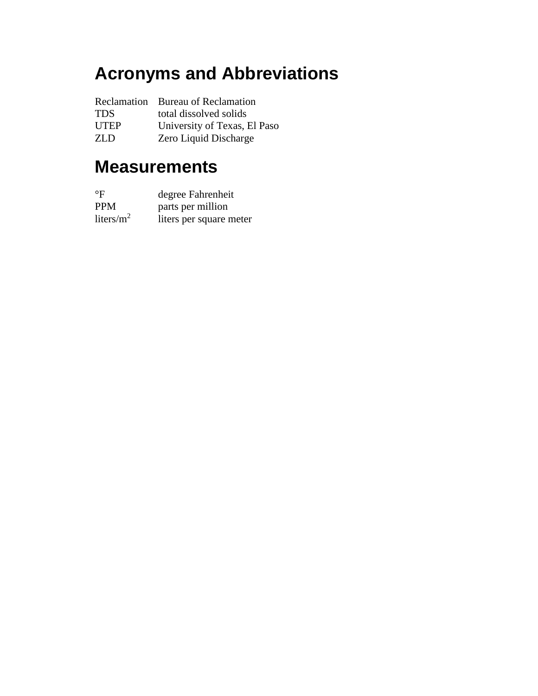# **Acronyms and Abbreviations**

|             | Reclamation Bureau of Reclamation |
|-------------|-----------------------------------|
| <b>TDS</b>  | total dissolved solids            |
| <b>UTEP</b> | University of Texas, El Paso      |
| ZLD.        | Zero Liquid Discharge             |

# **Measurements**

| $^{\circ}$ F  | degree Fahrenheit       |
|---------------|-------------------------|
| <b>PPM</b>    | parts per million       |
| liters/ $m^2$ | liters per square meter |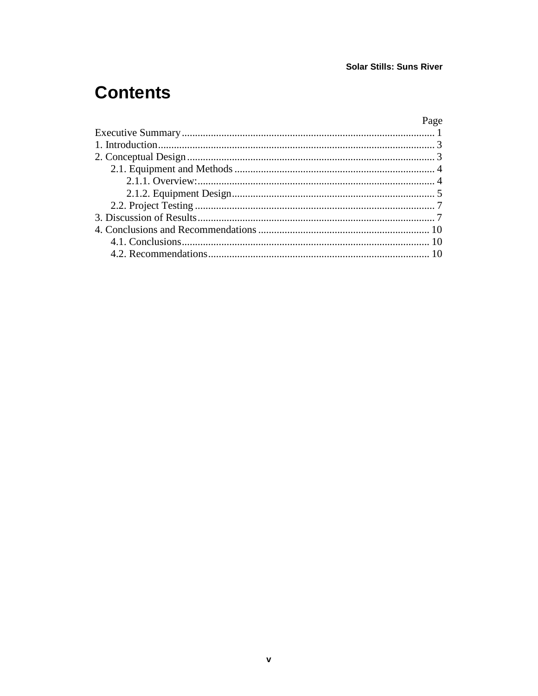# **Contents**

### Page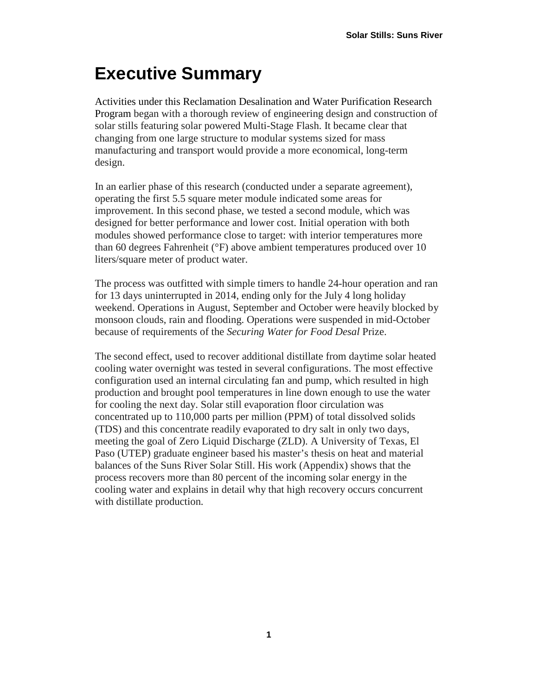# <span id="page-10-0"></span>**Executive Summary**

Activities under this Reclamation Desalination and Water Purification Research Program began with a thorough review of engineering design and construction of solar stills featuring solar powered Multi-Stage Flash. It became clear that changing from one large structure to modular systems sized for mass manufacturing and transport would provide a more economical, long-term design.

In an earlier phase of this research (conducted under a separate agreement), operating the first 5.5 square meter module indicated some areas for improvement. In this second phase, we tested a second module, which was designed for better performance and lower cost. Initial operation with both modules showed performance close to target: with interior temperatures more than 60 degrees Fahrenheit (°F) above ambient temperatures produced over 10 liters/square meter of product water.

The process was outfitted with simple timers to handle 24-hour operation and ran for 13 days uninterrupted in 2014, ending only for the July 4 long holiday weekend. Operations in August, September and October were heavily blocked by monsoon clouds, rain and flooding. Operations were suspended in mid-October because of requirements of the *Securing Water for Food Desal* Prize.

The second effect, used to recover additional distillate from daytime solar heated cooling water overnight was tested in several configurations. The most effective configuration used an internal circulating fan and pump, which resulted in high production and brought pool temperatures in line down enough to use the water for cooling the next day. Solar still evaporation floor circulation was concentrated up to 110,000 parts per million (PPM) of total dissolved solids (TDS) and this concentrate readily evaporated to dry salt in only two days, meeting the goal of Zero Liquid Discharge (ZLD). A University of Texas, El Paso (UTEP) graduate engineer based his master's thesis on heat and material balances of the Suns River Solar Still. His work (Appendix) shows that the process recovers more than 80 percent of the incoming solar energy in the cooling water and explains in detail why that high recovery occurs concurrent with distillate production.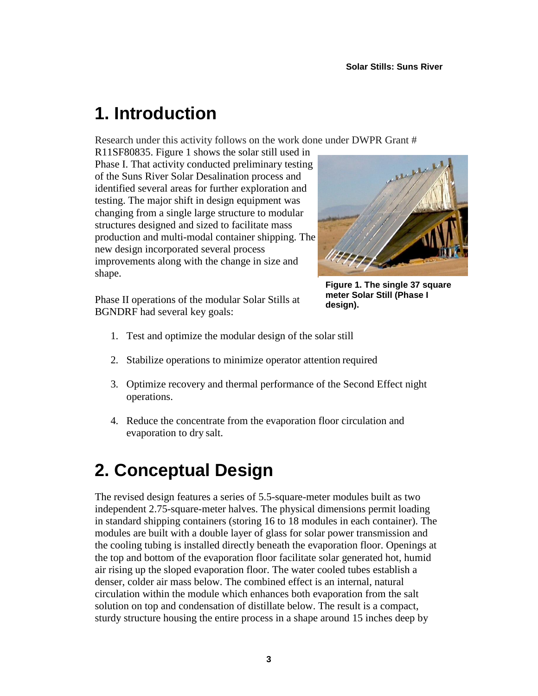# <span id="page-12-0"></span>**1. Introduction**

Research under this activity follows on the work done under DWPR Grant #

R11SF80835. [Figure 1](#page-12-2) shows the solar still used in Phase I. That activity conducted preliminary testing of the Suns River Solar Desalination process and identified several areas for further exploration and testing. The major shift in design equipment was changing from a single large structure to modular structures designed and sized to facilitate mass production and multi-modal container shipping. The new design incorporated several process improvements along with the change in size and shape.

Phase II operations of the modular Solar Stills at BGNDRF had several key goals:

<span id="page-12-2"></span>

**Figure 1. The single 37 square meter Solar Still (Phase I design).**

- 1. Test and optimize the modular design of the solar still
- 2. Stabilize operations to minimize operator attention required
- 3. Optimize recovery and thermal performance of the Second Effect night operations.
- 4. Reduce the concentrate from the evaporation floor circulation and evaporation to dry salt.

# <span id="page-12-1"></span>**2. Conceptual Design**

The revised design features a series of 5.5-square-meter modules built as two independent 2.75-square-meter halves. The physical dimensions permit loading in standard shipping containers (storing 16 to 18 modules in each container). The modules are built with a double layer of glass for solar power transmission and the cooling tubing is installed directly beneath the evaporation floor. Openings at the top and bottom of the evaporation floor facilitate solar generated hot, humid air rising up the sloped evaporation floor. The water cooled tubes establish a denser, colder air mass below. The combined effect is an internal, natural circulation within the module which enhances both evaporation from the salt solution on top and condensation of distillate below. The result is a compact, sturdy structure housing the entire process in a shape around 15 inches deep by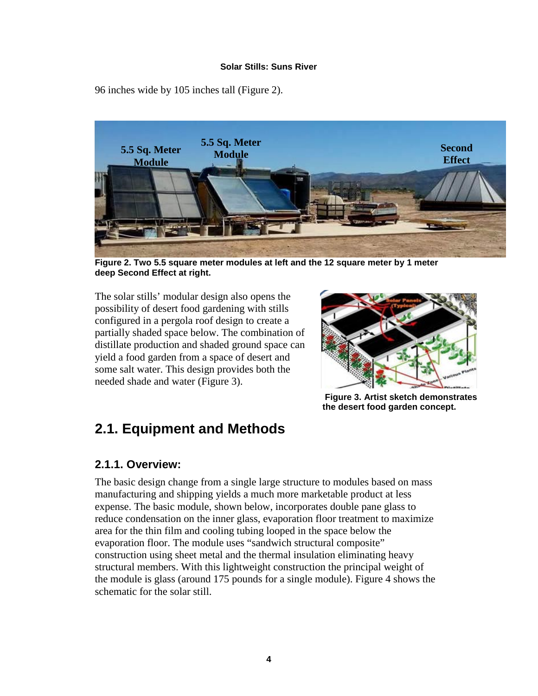96 inches wide by 105 inches tall [\(Figure 2\)](#page-13-2).



**Figure 2. Two 5.5 square meter modules at left and the 12 square meter by 1 meter deep Second Effect at right.**

<span id="page-13-2"></span>The solar stills' modular design also opens the possibility of desert food gardening with stills configured in a pergola roof design to create a partially shaded space below. The combination of distillate production and shaded ground space can yield a food garden from a space of desert and some salt water. This design provides both the needed shade and water (Figure 3).



**Figure 3. Artist sketch demonstrates the desert food garden concept.**

## <span id="page-13-0"></span>**2.1. Equipment and Methods**

#### <span id="page-13-1"></span>**2.1.1. Overview:**

The basic design change from a single large structure to modules based on mass manufacturing and shipping yields a much more marketable product at less expense. The basic module, shown below, incorporates double pane glass to reduce condensation on the inner glass, evaporation floor treatment to maximize area for the thin film and cooling tubing looped in the space below the evaporation floor. The module uses "sandwich structural composite" construction using sheet metal and the thermal insulation eliminating heavy structural members. With this lightweight construction the principal weight of the module is glass (around 175 pounds for a single module). [Figure 4](#page-14-1) shows the schematic for the solar still.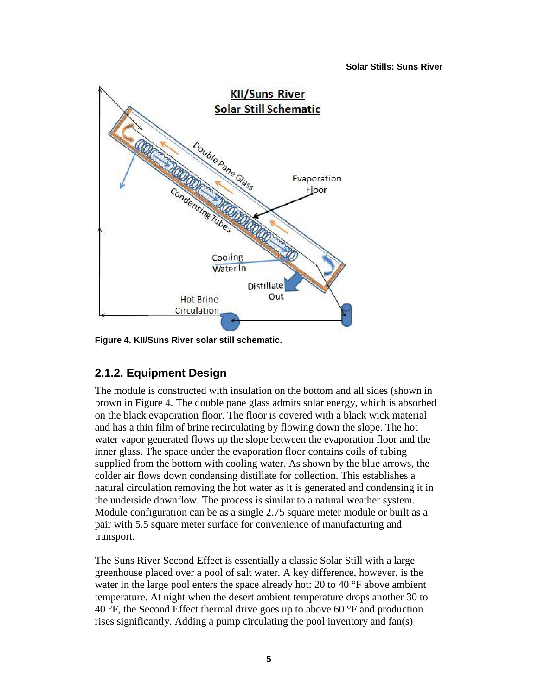

<span id="page-14-1"></span><span id="page-14-0"></span>**Figure 4. KII/Suns River solar still schematic.**

### **2.1.2. Equipment Design**

The module is constructed with insulation on the bottom and all sides (shown in brown in [Figure 4.](#page-14-1) The double pane glass admits solar energy, which is absorbed on the black evaporation floor. The floor is covered with a black wick material and has a thin film of brine recirculating by flowing down the slope. The hot water vapor generated flows up the slope between the evaporation floor and the inner glass. The space under the evaporation floor contains coils of tubing supplied from the bottom with cooling water. As shown by the blue arrows, the colder air flows down condensing distillate for collection. This establishes a natural circulation removing the hot water as it is generated and condensing it in the underside downflow. The process is similar to a natural weather system. Module configuration can be as a single 2.75 square meter module or built as a pair with 5.5 square meter surface for convenience of manufacturing and transport.

The Suns River Second Effect is essentially a classic Solar Still with a large greenhouse placed over a pool of salt water. A key difference, however, is the water in the large pool enters the space already hot: 20 to 40 °F above ambient temperature. At night when the desert ambient temperature drops another 30 to 40 °F, the Second Effect thermal drive goes up to above 60 °F and production rises significantly. Adding a pump circulating the pool inventory and fan(s)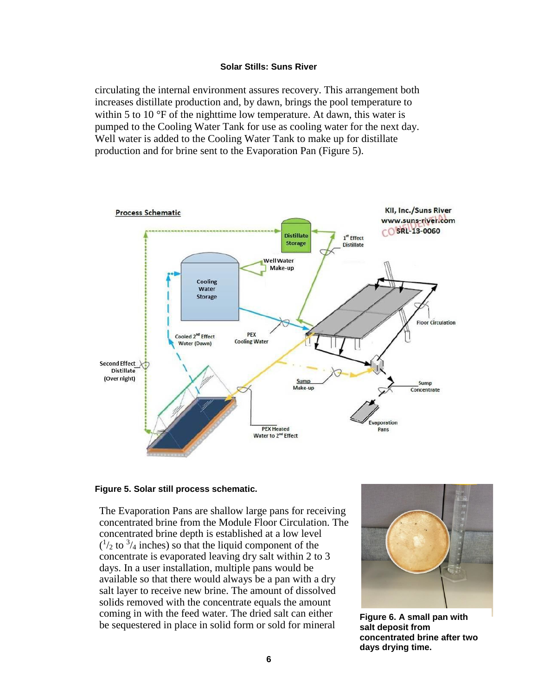circulating the internal environment assures recovery. This arrangement both increases distillate production and, by dawn, brings the pool temperature to within 5 to 10 °F of the nighttime low temperature. At dawn, this water is pumped to the Cooling Water Tank for use as cooling water for the next day. Well water is added to the Cooling Water Tank to make up for distillate production and for brine sent to the Evaporation Pan [\(Figure 5\)](#page-15-0).



#### <span id="page-15-0"></span>**Figure 5. Solar still process schematic.**

The Evaporation Pans are shallow large pans for receiving concentrated brine from the Module Floor Circulation. The concentrated brine depth is established at a low level  $(1/2)$  to  $(1/2)$  inches) so that the liquid component of the concentrate is evaporated leaving dry salt within 2 to 3 days. In a user installation, multiple pans would be available so that there would always be a pan with a dry salt layer to receive new brine. The amount of dissolved solids removed with the concentrate equals the amount coming in with the feed water. The dried salt can either be sequestered in place in solid form or sold for mineral **Figure 6. A small pan with** 



**salt deposit from concentrated brine after two days drying time.**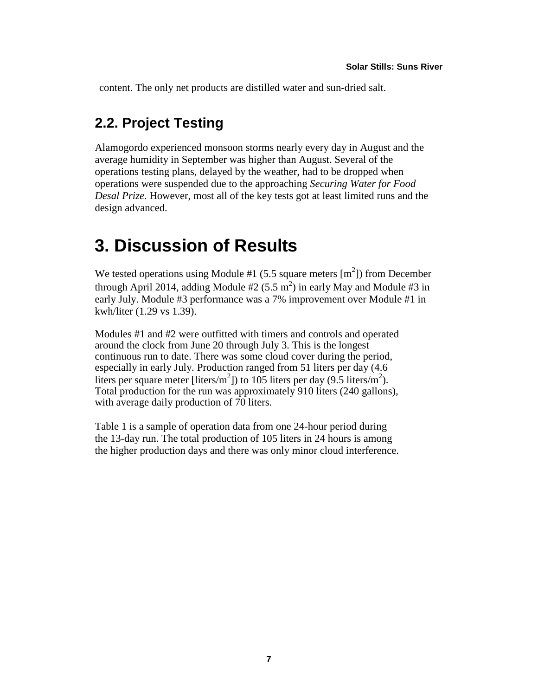<span id="page-16-0"></span>content. The only net products are distilled water and sun-dried salt.

## **2.2. Project Testing**

Alamogordo experienced monsoon storms nearly every day in August and the average humidity in September was higher than August. Several of the operations testing plans, delayed by the weather, had to be dropped when operations were suspended due to the approaching *Securing Water for Food Desal Prize*. However, most all of the key tests got at least limited runs and the design advanced.

## <span id="page-16-1"></span>**3. Discussion of Results**

We tested operations using Module #1 (5.5 square meters  $[m^2]$ ) from December through April 2014, adding Module  $#2 (5.5 m^2)$  in early May and Module  $#3$  in early July. Module #3 performance was a 7% improvement over Module #1 in kwh/liter (1.29 vs 1.39).

Modules #1 and #2 were outfitted with timers and controls and operated around the clock from June 20 through July 3. This is the longest continuous run to date. There was some cloud cover during the period, especially in early July. Production ranged from 51 liters per day (4.6 liters per square meter [liters/m<sup>2</sup>]) to 105 liters per day (9.5 liters/m<sup>2</sup>). Total production for the run was approximately 910 liters (240 gallons), with average daily production of 70 liters.

[Table 1](#page-17-0) is a sample of operation data from one 24-hour period during the 13-day run. The total production of 105 liters in 24 hours is among the higher production days and there was only minor cloud interference.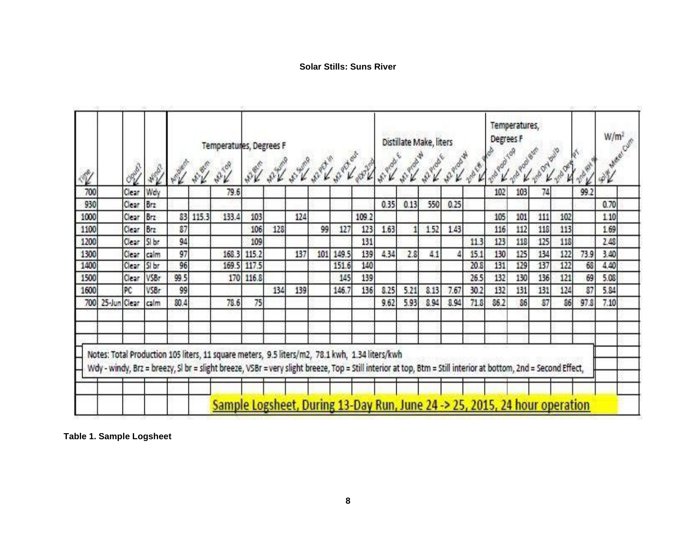| 700<br>Clear<br>Wdy<br>79.6<br>103<br>99.2<br>102<br>74<br>930<br>Clear<br>550<br>0.35<br>0.13<br>0.25<br>Brz<br>83<br>Clear<br>1000<br>115.3<br>133.4<br>111<br>102<br>Brz<br>103<br>124<br>109.2<br>105<br>101<br>87<br>1100<br>Clear:<br>128<br>99<br>127<br>1.63<br>1.52<br>1.43<br>112<br>118<br>113<br>123<br>116<br>l Brzi<br>106<br>125<br>1200<br>Clear:<br>94<br>131<br>118<br>118<br>Si br<br>109<br>123<br>11.3<br>97<br>134<br>137<br>139<br>4,34<br>125<br>122<br>73.9<br>1300<br>Clear:<br>168.3<br>101 149.5<br>2.8<br>130<br>115.2<br>41<br>15.1<br>calm<br>129<br>96<br>140<br>131<br>137<br>122<br>1400<br>Si br<br>117.5<br>151.6<br>20.8<br>Clear:<br>169.5<br>68<br>99.5<br>136<br>121<br>1500<br>VSBr<br>170 116.8<br>139<br>26.5<br>132<br>130<br>69<br>Clear<br>145<br>PC<br>124<br>87<br>1600<br>99<br>134<br>146.7<br>136<br>8.25<br>5.21<br>8.13<br>131<br>131<br>VSBr<br>139<br>7.67<br>30.2<br>132<br>700 25-Jun Clear<br>80.4<br>78.6<br>5.93<br>86.2<br>86<br>86<br>calm<br>75.<br>9.62<br>8.94<br>71.8<br>37<br>97.8<br>8.94 | Notes: Total Production 105 liters, 11 square meters, 9.5 liters/m2, 78.1 kwh, 1.34 liters/kwh | 4 |  | <b>AND</b> |  | Temperatures, Degrees F |  |  |  | Distillate Make, liters |  | Degrees F | Temperatures, |  | W/m <sup>2</sup><br>AV. |
|---------------------------------------------------------------------------------------------------------------------------------------------------------------------------------------------------------------------------------------------------------------------------------------------------------------------------------------------------------------------------------------------------------------------------------------------------------------------------------------------------------------------------------------------------------------------------------------------------------------------------------------------------------------------------------------------------------------------------------------------------------------------------------------------------------------------------------------------------------------------------------------------------------------------------------------------------------------------------------------------------------------------------------------------------------------|------------------------------------------------------------------------------------------------|---|--|------------|--|-------------------------|--|--|--|-------------------------|--|-----------|---------------|--|-------------------------|
|                                                                                                                                                                                                                                                                                                                                                                                                                                                                                                                                                                                                                                                                                                                                                                                                                                                                                                                                                                                                                                                               |                                                                                                |   |  |            |  |                         |  |  |  |                         |  |           |               |  |                         |
|                                                                                                                                                                                                                                                                                                                                                                                                                                                                                                                                                                                                                                                                                                                                                                                                                                                                                                                                                                                                                                                               |                                                                                                |   |  |            |  |                         |  |  |  |                         |  |           |               |  | 0.70                    |
|                                                                                                                                                                                                                                                                                                                                                                                                                                                                                                                                                                                                                                                                                                                                                                                                                                                                                                                                                                                                                                                               |                                                                                                |   |  |            |  |                         |  |  |  |                         |  |           |               |  | 110                     |
|                                                                                                                                                                                                                                                                                                                                                                                                                                                                                                                                                                                                                                                                                                                                                                                                                                                                                                                                                                                                                                                               |                                                                                                |   |  |            |  |                         |  |  |  |                         |  |           |               |  | 1.69                    |
|                                                                                                                                                                                                                                                                                                                                                                                                                                                                                                                                                                                                                                                                                                                                                                                                                                                                                                                                                                                                                                                               |                                                                                                |   |  |            |  |                         |  |  |  |                         |  |           |               |  | 2.48                    |
|                                                                                                                                                                                                                                                                                                                                                                                                                                                                                                                                                                                                                                                                                                                                                                                                                                                                                                                                                                                                                                                               |                                                                                                |   |  |            |  |                         |  |  |  |                         |  |           |               |  | 3.40                    |
|                                                                                                                                                                                                                                                                                                                                                                                                                                                                                                                                                                                                                                                                                                                                                                                                                                                                                                                                                                                                                                                               |                                                                                                |   |  |            |  |                         |  |  |  |                         |  |           |               |  | 4.40                    |
|                                                                                                                                                                                                                                                                                                                                                                                                                                                                                                                                                                                                                                                                                                                                                                                                                                                                                                                                                                                                                                                               |                                                                                                |   |  |            |  |                         |  |  |  |                         |  |           |               |  | 5.08                    |
|                                                                                                                                                                                                                                                                                                                                                                                                                                                                                                                                                                                                                                                                                                                                                                                                                                                                                                                                                                                                                                                               |                                                                                                |   |  |            |  |                         |  |  |  |                         |  |           |               |  | 5.84                    |
|                                                                                                                                                                                                                                                                                                                                                                                                                                                                                                                                                                                                                                                                                                                                                                                                                                                                                                                                                                                                                                                               |                                                                                                |   |  |            |  |                         |  |  |  |                         |  |           |               |  | 7.10                    |
|                                                                                                                                                                                                                                                                                                                                                                                                                                                                                                                                                                                                                                                                                                                                                                                                                                                                                                                                                                                                                                                               |                                                                                                |   |  |            |  |                         |  |  |  |                         |  |           |               |  |                         |

<span id="page-17-0"></span>**Table 1. Sample Logsheet**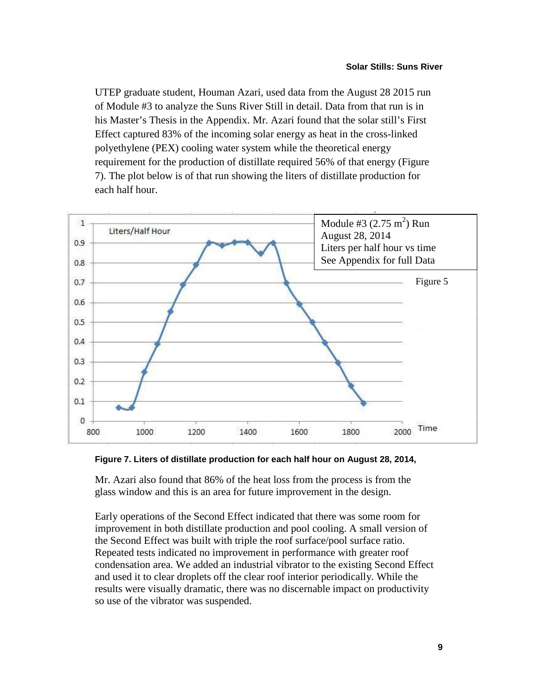UTEP graduate student, Houman Azari, used data from the August 28 2015 run of Module #3 to analyze the Suns River Still in detail. Data from that run is in his Master's Thesis in the Appendix. Mr. Azari found that the solar still's First Effect captured 83% of the incoming solar energy as heat in the cross-linked polyethylene (PEX) cooling water system while the theoretical energy requirement for the production of distillate required 56% of that energy [\(Figure](#page-18-0)  [7\)](#page-18-0). The plot below is of that run showing the liters of distillate production for each half hour.



<span id="page-18-0"></span>**Figure 7. Liters of distillate production for each half hour on August 28, 2014,**

Mr. Azari also found that 86% of the heat loss from the process is from the glass window and this is an area for future improvement in the design.

Early operations of the Second Effect indicated that there was some room for improvement in both distillate production and pool cooling. A small version of the Second Effect was built with triple the roof surface/pool surface ratio. Repeated tests indicated no improvement in performance with greater roof condensation area. We added an industrial vibrator to the existing Second Effect and used it to clear droplets off the clear roof interior periodically. While the results were visually dramatic, there was no discernable impact on productivity so use of the vibrator was suspended.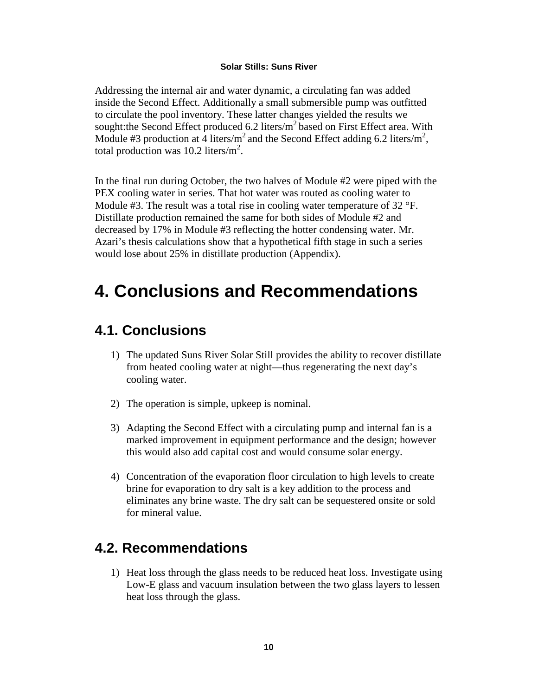Addressing the internal air and water dynamic, a circulating fan was added inside the Second Effect. Additionally a small submersible pump was outfitted to circulate the pool inventory. These latter changes yielded the results we sought: the Second Effect produced 6.2 liters/ $m^2$  based on First Effect area. With Module #3 production at 4 liters/m<sup>2</sup> and the Second Effect adding 6.2 liters/m<sup>2</sup>, total production was 10.2 liters/ $m^2$ .

In the final run during October, the two halves of Module #2 were piped with the PEX cooling water in series. That hot water was routed as cooling water to Module #3. The result was a total rise in cooling water temperature of 32 °F. Distillate production remained the same for both sides of Module #2 and decreased by 17% in Module #3 reflecting the hotter condensing water. Mr. Azari's thesis calculations show that a hypothetical fifth stage in such a series would lose about 25% in distillate production (Appendix).

# <span id="page-19-0"></span>**4. Conclusions and Recommendations**

## <span id="page-19-1"></span>**4.1. Conclusions**

- 1) The updated Suns River Solar Still provides the ability to recover distillate from heated cooling water at night—thus regenerating the next day's cooling water.
- 2) The operation is simple, upkeep is nominal.
- 3) Adapting the Second Effect with a circulating pump and internal fan is a marked improvement in equipment performance and the design; however this would also add capital cost and would consume solar energy.
- 4) Concentration of the evaporation floor circulation to high levels to create brine for evaporation to dry salt is a key addition to the process and eliminates any brine waste. The dry salt can be sequestered onsite or sold for mineral value.

## <span id="page-19-2"></span>**4.2. Recommendations**

1) Heat loss through the glass needs to be reduced heat loss. Investigate using Low-E glass and vacuum insulation between the two glass layers to lessen heat loss through the glass.